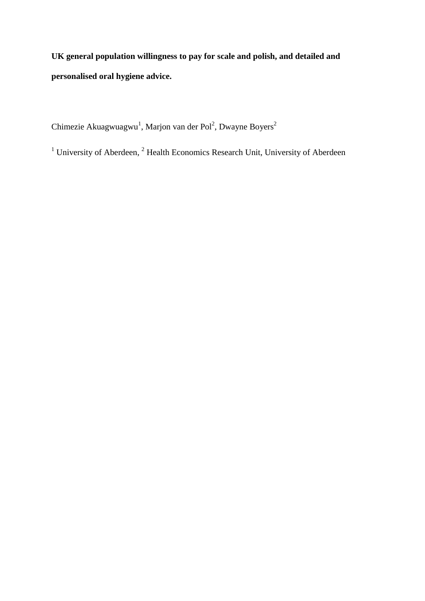**UK general population willingness to pay for scale and polish, and detailed and personalised oral hygiene advice.**

Chimezie Akuagwuagwu<sup>1</sup>, Marjon van der Pol<sup>2</sup>, Dwayne Boyers<sup>2</sup>

<sup>1</sup> University of Aberdeen,  $2$  Health Economics Research Unit, University of Aberdeen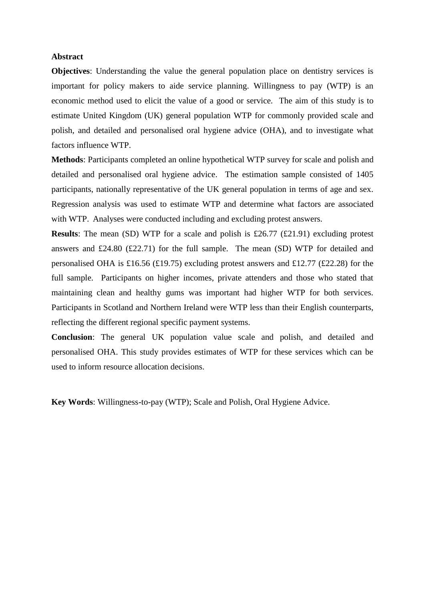## **Abstract**

**Objectives**: Understanding the value the general population place on dentistry services is important for policy makers to aide service planning. Willingness to pay (WTP) is an economic method used to elicit the value of a good or service. The aim of this study is to estimate United Kingdom (UK) general population WTP for commonly provided scale and polish, and detailed and personalised oral hygiene advice (OHA), and to investigate what factors influence WTP.

**Methods**: Participants completed an online hypothetical WTP survey for scale and polish and detailed and personalised oral hygiene advice. The estimation sample consisted of 1405 participants, nationally representative of the UK general population in terms of age and sex. Regression analysis was used to estimate WTP and determine what factors are associated with WTP. Analyses were conducted including and excluding protest answers.

**Results**: The mean (SD) WTP for a scale and polish is £26.77 (£21.91) excluding protest answers and £24.80 (£22.71) for the full sample. The mean (SD) WTP for detailed and personalised OHA is £16.56 (£19.75) excluding protest answers and £12.77 (£22.28) for the full sample. Participants on higher incomes, private attenders and those who stated that maintaining clean and healthy gums was important had higher WTP for both services. Participants in Scotland and Northern Ireland were WTP less than their English counterparts, reflecting the different regional specific payment systems.

**Conclusion**: The general UK population value scale and polish, and detailed and personalised OHA. This study provides estimates of WTP for these services which can be used to inform resource allocation decisions.

**Key Words**: Willingness-to-pay (WTP); Scale and Polish, Oral Hygiene Advice.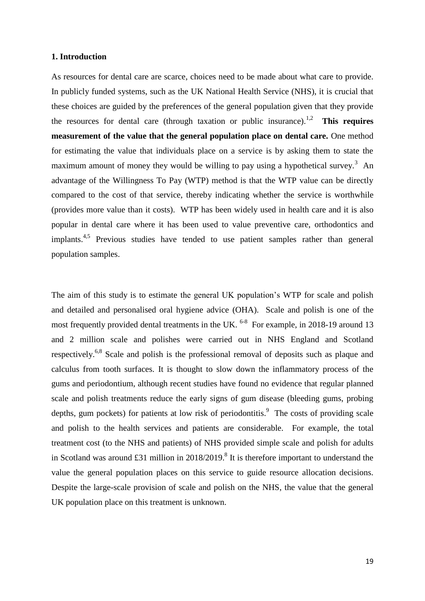## **1. Introduction**

As resources for dental care are scarce, choices need to be made about what care to provide. In publicly funded systems, such as the UK National Health Service (NHS), it is crucial that these choices are guided by the preferences of the general population given that they provide the resources for dental care (through taxation or public insurance).<sup>1,2</sup> **This requires measurement of the value that the general population place on dental care.** One method for estimating the value that individuals place on a service is by asking them to state the maximum amount of money they would be willing to pay using a hypothetical survey.<sup>3</sup> An advantage of the Willingness To Pay (WTP) method is that the WTP value can be directly compared to the cost of that service, thereby indicating whether the service is worthwhile (provides more value than it costs). WTP has been widely used in health care and it is also popular in dental care where it has been used to value preventive care, orthodontics and implants.<sup>4,5</sup> Previous studies have tended to use patient samples rather than general population samples.

The aim of this study is to estimate the general UK population's WTP for scale and polish and detailed and personalised oral hygiene advice (OHA). Scale and polish is one of the most frequently provided dental treatments in the UK.  $6-8$  For example, in 2018-19 around 13 and 2 million scale and polishes were carried out in NHS England and Scotland respectively.<sup>6,8</sup> Scale and polish is the professional removal of deposits such as plaque and calculus from tooth surfaces. It is thought to slow down the inflammatory process of the gums and periodontium, although recent studies have found no evidence that regular planned scale and polish treatments reduce the early signs of gum disease (bleeding gums, probing depths, gum pockets) for patients at low risk of periodontitis.<sup>9</sup> The costs of providing scale and polish to the health services and patients are considerable. For example, the total treatment cost (to the NHS and patients) of NHS provided simple scale and polish for adults in Scotland was around £31 million in  $2018/2019$ .<sup>8</sup> It is therefore important to understand the value the general population places on this service to guide resource allocation decisions. Despite the large-scale provision of scale and polish on the NHS, the value that the general UK population place on this treatment is unknown.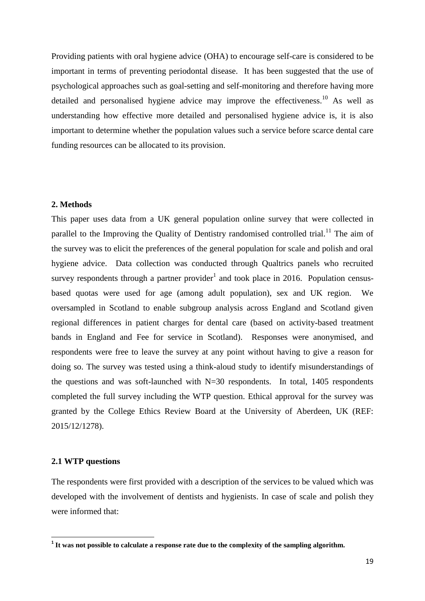Providing patients with oral hygiene advice (OHA) to encourage self-care is considered to be important in terms of preventing periodontal disease. It has been suggested that the use of psychological approaches such as goal-setting and self-monitoring and therefore having more detailed and personalised hygiene advice may improve the effectiveness.<sup>10</sup> As well as understanding how effective more detailed and personalised hygiene advice is, it is also important to determine whether the population values such a service before scarce dental care funding resources can be allocated to its provision.

## **2. Methods**

This paper uses data from a UK general population online survey that were collected in parallel to the Improving the Quality of Dentistry randomised controlled trial.<sup>11</sup> The aim of the survey was to elicit the preferences of the general population for scale and polish and oral hygiene advice. Data collection was conducted through Qualtrics panels who recruited survey respondents through a partner provider<sup>1</sup> and took place in 2016. Population censusbased quotas were used for age (among adult population), sex and UK region. We oversampled in Scotland to enable subgroup analysis across England and Scotland given regional differences in patient charges for dental care (based on activity-based treatment bands in England and Fee for service in Scotland). Responses were anonymised, and respondents were free to leave the survey at any point without having to give a reason for doing so. The survey was tested using a think-aloud study to identify misunderstandings of the questions and was soft-launched with  $N=30$  respondents. In total, 1405 respondents completed the full survey including the WTP question. Ethical approval for the survey was granted by the College Ethics Review Board at the University of Aberdeen, UK (REF: 2015/12/1278).

## **2.1 WTP questions**

The respondents were first provided with a description of the services to be valued which was developed with the involvement of dentists and hygienists. In case of scale and polish they were informed that:

 **1 It was not possible to calculate a response rate due to the complexity of the sampling algorithm.**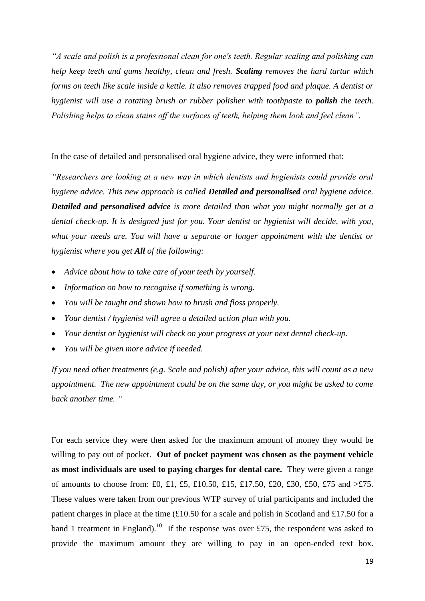*"A scale and polish is a professional clean for one's teeth. Regular scaling and polishing can help keep teeth and gums healthy, clean and fresh. Scaling removes the hard tartar which forms on teeth like scale inside a kettle. It also removes trapped food and plaque. A dentist or hygienist will use a rotating brush or rubber polisher with toothpaste to polish the teeth. Polishing helps to clean stains off the surfaces of teeth, helping them look and feel clean".*

In the case of detailed and personalised oral hygiene advice, they were informed that:

*"Researchers are looking at a new way in which dentists and hygienists could provide oral hygiene advice. This new approach is called Detailed and personalised oral hygiene advice. Detailed and personalised advice is more detailed than what you might normally get at a dental check-up. It is designed just for you. Your dentist or hygienist will decide, with you, what your needs are. You will have a separate or longer appointment with the dentist or hygienist where you get All of the following:* 

- *Advice about how to take care of your teeth by yourself.*
- *Information on how to recognise if something is wrong.*
- *You will be taught and shown how to brush and floss properly.*
- *Your dentist / hygienist will agree a detailed action plan with you.*
- *Your dentist or hygienist will check on your progress at your next dental check-up.*
- *You will be given more advice if needed.*

*If you need other treatments (e.g. Scale and polish) after your advice, this will count as a new appointment. The new appointment could be on the same day, or you might be asked to come back another time. "*

For each service they were then asked for the maximum amount of money they would be willing to pay out of pocket. **Out of pocket payment was chosen as the payment vehicle as most individuals are used to paying charges for dental care.** They were given a range of amounts to choose from: £0, £1, £5, £10.50, £15, £17.50, £20, £30, £50, £75 and  $\geq$ £75. These values were taken from our previous WTP survey of trial participants and included the patient charges in place at the time (£10.50 for a scale and polish in Scotland and £17.50 for a band 1 treatment in England).<sup>10</sup> If the response was over £75, the respondent was asked to provide the maximum amount they are willing to pay in an open-ended text box.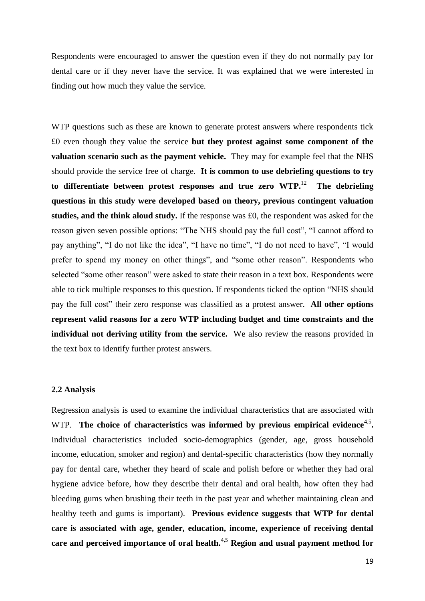Respondents were encouraged to answer the question even if they do not normally pay for dental care or if they never have the service. It was explained that we were interested in finding out how much they value the service.

WTP questions such as these are known to generate protest answers where respondents tick £0 even though they value the service **but they protest against some component of the valuation scenario such as the payment vehicle.** They may for example feel that the NHS should provide the service free of charge. **It is common to use debriefing questions to try to differentiate between protest responses and true zero WTP.**<sup>12</sup> **The debriefing questions in this study were developed based on theory, previous contingent valuation studies, and the think aloud study.** If the response was £0, the respondent was asked for the reason given seven possible options: "The NHS should pay the full cost", "I cannot afford to pay anything", "I do not like the idea", "I have no time", "I do not need to have", "I would prefer to spend my money on other things", and "some other reason". Respondents who selected "some other reason" were asked to state their reason in a text box. Respondents were able to tick multiple responses to this question. If respondents ticked the option "NHS should pay the full cost" their zero response was classified as a protest answer. **All other options represent valid reasons for a zero WTP including budget and time constraints and the individual not deriving utility from the service.** We also review the reasons provided in the text box to identify further protest answers.

## **2.2 Analysis**

Regression analysis is used to examine the individual characteristics that are associated with WTP. The choice of characteristics was informed by previous empirical evidence<sup>4,5</sup>. Individual characteristics included socio-demographics (gender, age, gross household income, education, smoker and region) and dental-specific characteristics (how they normally pay for dental care, whether they heard of scale and polish before or whether they had oral hygiene advice before, how they describe their dental and oral health, how often they had bleeding gums when brushing their teeth in the past year and whether maintaining clean and healthy teeth and gums is important). **Previous evidence suggests that WTP for dental care is associated with age, gender, education, income, experience of receiving dental care and perceived importance of oral health.**4,5 **Region and usual payment method for**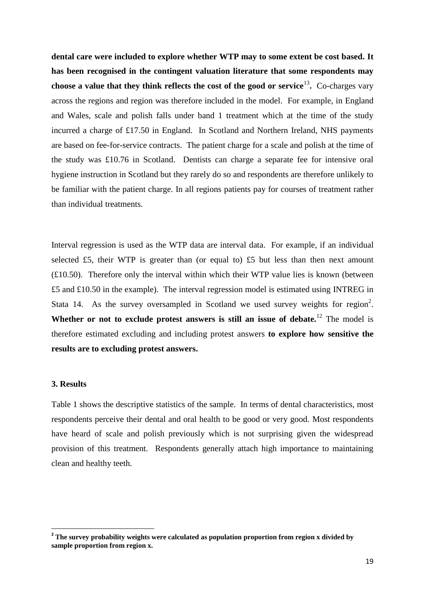**dental care were included to explore whether WTP may to some extent be cost based. It has been recognised in the contingent valuation literature that some respondents may choose a value that they think reflects the cost of the good or service**<sup>13</sup> **.** Co-charges vary across the regions and region was therefore included in the model. For example, in England and Wales, scale and polish falls under band 1 treatment which at the time of the study incurred a charge of £17.50 in England. In Scotland and Northern Ireland, NHS payments are based on fee-for-service contracts. The patient charge for a scale and polish at the time of the study was £10.76 in Scotland. Dentists can charge a separate fee for intensive oral hygiene instruction in Scotland but they rarely do so and respondents are therefore unlikely to be familiar with the patient charge. In all regions patients pay for courses of treatment rather than individual treatments.

Interval regression is used as the WTP data are interval data. For example, if an individual selected £5, their WTP is greater than (or equal to) £5 but less than then next amount (£10.50). Therefore only the interval within which their WTP value lies is known (between £5 and £10.50 in the example). The interval regression model is estimated using INTREG in Stata 14. As the survey oversampled in Scotland we used survey weights for region<sup>2</sup>. Whether or not to exclude protest answers is still an issue of debate.<sup>12</sup> The model is therefore estimated excluding and including protest answers **to explore how sensitive the results are to excluding protest answers.** 

## **3. Results**

Table 1 shows the descriptive statistics of the sample. In terms of dental characteristics, most respondents perceive their dental and oral health to be good or very good. Most respondents have heard of scale and polish previously which is not surprising given the widespread provision of this treatment. Respondents generally attach high importance to maintaining clean and healthy teeth.

 **2 The survey probability weights were calculated as population proportion from region x divided by sample proportion from region x.**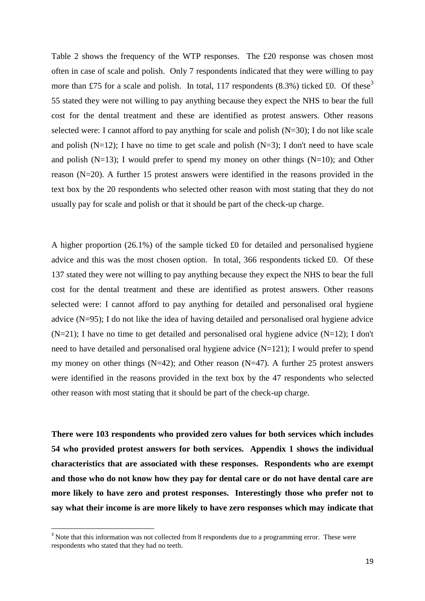Table 2 shows the frequency of the WTP responses. The £20 response was chosen most often in case of scale and polish. Only 7 respondents indicated that they were willing to pay more than £75 for a scale and polish. In total, 117 respondents (8.3%) ticked £0. Of these<sup>3</sup> 55 stated they were not willing to pay anything because they expect the NHS to bear the full cost for the dental treatment and these are identified as protest answers. Other reasons selected were: I cannot afford to pay anything for scale and polish  $(N=30)$ ; I do not like scale and polish  $(N=12)$ ; I have no time to get scale and polish  $(N=3)$ ; I don't need to have scale and polish ( $N=13$ ); I would prefer to spend my money on other things ( $N=10$ ); and Other reason (N=20). A further 15 protest answers were identified in the reasons provided in the text box by the 20 respondents who selected other reason with most stating that they do not usually pay for scale and polish or that it should be part of the check-up charge.

A higher proportion (26.1%) of the sample ticked £0 for detailed and personalised hygiene advice and this was the most chosen option. In total, 366 respondents ticked £0. Of these 137 stated they were not willing to pay anything because they expect the NHS to bear the full cost for the dental treatment and these are identified as protest answers. Other reasons selected were: I cannot afford to pay anything for detailed and personalised oral hygiene advice (N=95); I do not like the idea of having detailed and personalised oral hygiene advice  $(N=21)$ ; I have no time to get detailed and personalised oral hygiene advice  $(N=12)$ ; I don't need to have detailed and personalised oral hygiene advice (N=121); I would prefer to spend my money on other things  $(N=42)$ ; and Other reason  $(N=47)$ . A further 25 protest answers were identified in the reasons provided in the text box by the 47 respondents who selected other reason with most stating that it should be part of the check-up charge.

**There were 103 respondents who provided zero values for both services which includes 54 who provided protest answers for both services. Appendix 1 shows the individual characteristics that are associated with these responses. Respondents who are exempt and those who do not know how they pay for dental care or do not have dental care are more likely to have zero and protest responses. Interestingly those who prefer not to say what their income is are more likely to have zero responses which may indicate that** 

**.** 

 $3$  Note that this information was not collected from 8 respondents due to a programming error. These were respondents who stated that they had no teeth.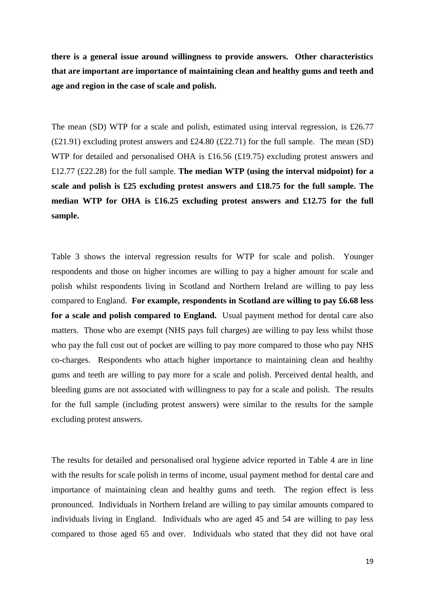**there is a general issue around willingness to provide answers. Other characteristics that are important are importance of maintaining clean and healthy gums and teeth and age and region in the case of scale and polish.**

The mean (SD) WTP for a scale and polish, estimated using interval regression, is £26.77  $(E21.91)$  excluding protest answers and £24.80  $(E22.71)$  for the full sample. The mean (SD) WTP for detailed and personalised OHA is £16.56 (£19.75) excluding protest answers and £12.77 (£22.28) for the full sample. **The median WTP (using the interval midpoint) for a scale and polish is £25 excluding protest answers and £18.75 for the full sample. The median WTP for OHA is £16.25 excluding protest answers and £12.75 for the full sample.** 

Table 3 shows the interval regression results for WTP for scale and polish. Younger respondents and those on higher incomes are willing to pay a higher amount for scale and polish whilst respondents living in Scotland and Northern Ireland are willing to pay less compared to England. **For example, respondents in Scotland are willing to pay £6.68 less for a scale and polish compared to England.** Usual payment method for dental care also matters. Those who are exempt (NHS pays full charges) are willing to pay less whilst those who pay the full cost out of pocket are willing to pay more compared to those who pay NHS co-charges. Respondents who attach higher importance to maintaining clean and healthy gums and teeth are willing to pay more for a scale and polish. Perceived dental health, and bleeding gums are not associated with willingness to pay for a scale and polish. The results for the full sample (including protest answers) were similar to the results for the sample excluding protest answers.

The results for detailed and personalised oral hygiene advice reported in Table 4 are in line with the results for scale polish in terms of income, usual payment method for dental care and importance of maintaining clean and healthy gums and teeth. The region effect is less pronounced. Individuals in Northern Ireland are willing to pay similar amounts compared to individuals living in England. Individuals who are aged 45 and 54 are willing to pay less compared to those aged 65 and over. Individuals who stated that they did not have oral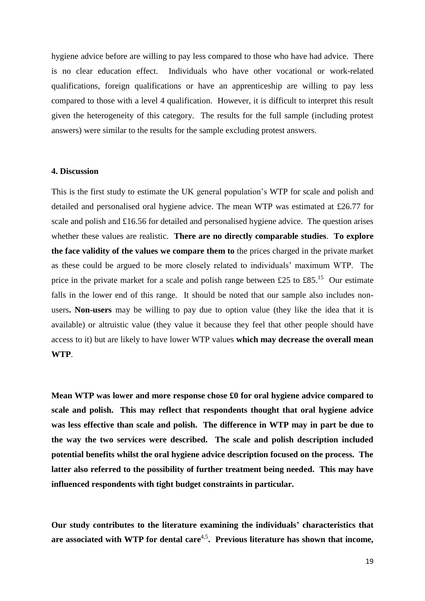hygiene advice before are willing to pay less compared to those who have had advice. There is no clear education effect. Individuals who have other vocational or work-related qualifications, foreign qualifications or have an apprenticeship are willing to pay less compared to those with a level 4 qualification. However, it is difficult to interpret this result given the heterogeneity of this category. The results for the full sample (including protest answers) were similar to the results for the sample excluding protest answers.

## **4. Discussion**

This is the first study to estimate the UK general population's WTP for scale and polish and detailed and personalised oral hygiene advice. The mean WTP was estimated at £26.77 for scale and polish and £16.56 for detailed and personalised hygiene advice. The question arises whether these values are realistic. **There are no directly comparable studies**. **To explore the face validity of the values we compare them to** the prices charged in the private market as these could be argued to be more closely related to individuals' maximum WTP. The price in the private market for a scale and polish range between £25 to £85.<sup>15</sup> Our estimate falls in the lower end of this range. It should be noted that our sample also includes nonusers**. Non-users** may be willing to pay due to option value (they like the idea that it is available) or altruistic value (they value it because they feel that other people should have access to it) but are likely to have lower WTP values **which may decrease the overall mean WTP**.

**Mean WTP was lower and more response chose £0 for oral hygiene advice compared to scale and polish. This may reflect that respondents thought that oral hygiene advice was less effective than scale and polish. The difference in WTP may in part be due to the way the two services were described. The scale and polish description included potential benefits whilst the oral hygiene advice description focused on the process. The latter also referred to the possibility of further treatment being needed. This may have influenced respondents with tight budget constraints in particular.** 

**Our study contributes to the literature examining the individuals' characteristics that**  are associated with WTP for dental care<sup>4,5</sup>. Previous literature has shown that income,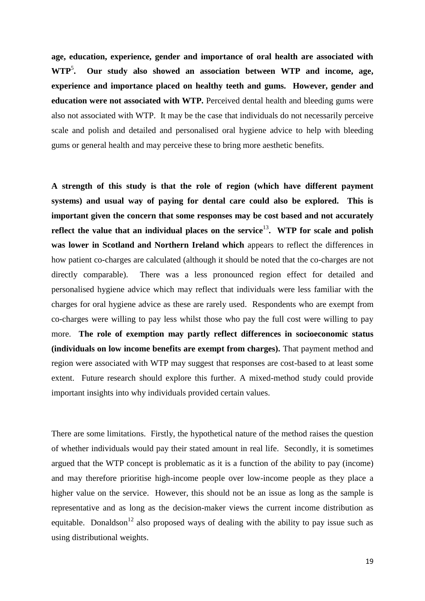**age, education, experience, gender and importance of oral health are associated with WTP<sup>5</sup>. . Our study also showed an association between WTP and income, age, experience and importance placed on healthy teeth and gums. However, gender and education were not associated with WTP.** Perceived dental health and bleeding gums were also not associated with WTP. It may be the case that individuals do not necessarily perceive scale and polish and detailed and personalised oral hygiene advice to help with bleeding gums or general health and may perceive these to bring more aesthetic benefits.

**A strength of this study is that the role of region (which have different payment systems) and usual way of paying for dental care could also be explored. This is important given the concern that some responses may be cost based and not accurately**  reflect the value that an individual places on the service<sup>13</sup>. WTP for scale and polish **was lower in Scotland and Northern Ireland which** appears to reflect the differences in how patient co-charges are calculated (although it should be noted that the co-charges are not directly comparable). There was a less pronounced region effect for detailed and personalised hygiene advice which may reflect that individuals were less familiar with the charges for oral hygiene advice as these are rarely used. Respondents who are exempt from co-charges were willing to pay less whilst those who pay the full cost were willing to pay more. **The role of exemption may partly reflect differences in socioeconomic status (individuals on low income benefits are exempt from charges).** That payment method and region were associated with WTP may suggest that responses are cost-based to at least some extent. Future research should explore this further. A mixed-method study could provide important insights into why individuals provided certain values.

There are some limitations. Firstly, the hypothetical nature of the method raises the question of whether individuals would pay their stated amount in real life. Secondly, it is sometimes argued that the WTP concept is problematic as it is a function of the ability to pay (income) and may therefore prioritise high-income people over low-income people as they place a higher value on the service. However, this should not be an issue as long as the sample is representative and as long as the decision-maker views the current income distribution as equitable. Donaldson<sup>12</sup> also proposed ways of dealing with the ability to pay issue such as using distributional weights.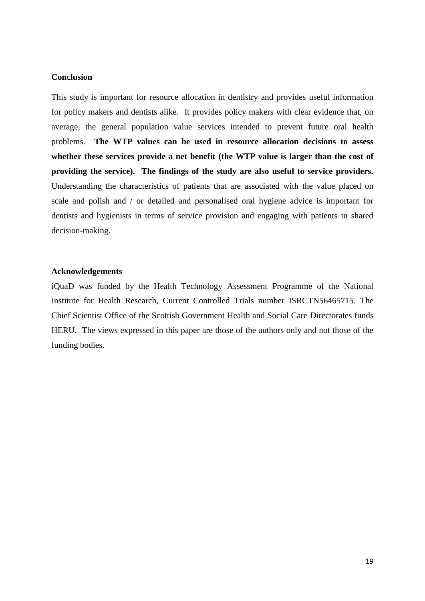## **Conclusion**

This study is important for resource allocation in dentistry and provides useful information for policy makers and dentists alike. It provides policy makers with clear evidence that, on average, the general population value services intended to prevent future oral health problems. **The WTP values can be used in resource allocation decisions to assess whether these services provide a net benefit (the WTP value is larger than the cost of providing the service). The findings of the study are also useful to service providers.**  Understanding the characteristics of patients that are associated with the value placed on scale and polish and / or detailed and personalised oral hygiene advice is important for dentists and hygienists in terms of service provision and engaging with patients in shared decision-making.

## **Acknowledgements**

iQuaD was funded by the Health Technology Assessment Programme of the National Institute for Health Research, Current Controlled Trials number ISRCTN56465715. The Chief Scientist Office of the Scottish Government Health and Social Care Directorates funds HERU. The views expressed in this paper are those of the authors only and not those of the funding bodies.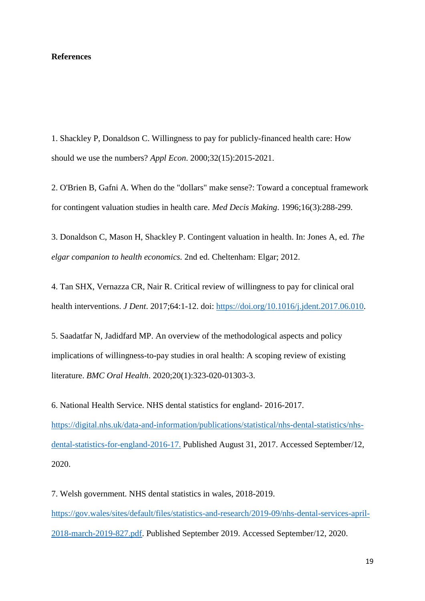## **References**

1. Shackley P, Donaldson C. Willingness to pay for publicly-financed health care: How should we use the numbers? *Appl Econ*. 2000;32(15):2015-2021.

2. O'Brien B, Gafni A. When do the "dollars" make sense?: Toward a conceptual framework for contingent valuation studies in health care. *Med Decis Making*. 1996;16(3):288-299.

3. Donaldson C, Mason H, Shackley P. Contingent valuation in health. In: Jones A, ed. *The elgar companion to health economics.* 2nd ed. Cheltenham: Elgar; 2012.

4. Tan SHX, Vernazza CR, Nair R. Critical review of willingness to pay for clinical oral health interventions. *J Dent*. 2017;64:1-12. doi: [https://doi.org/10.1016/j.jdent.2017.06.010.](about:blank)

5. Saadatfar N, Jadidfard MP. An overview of the methodological aspects and policy implications of willingness-to-pay studies in oral health: A scoping review of existing literature. *BMC Oral Health*. 2020;20(1):323-020-01303-3.

6. National Health Service. NHS dental statistics for england- 2016-2017. [https://digital.nhs.uk/data-and-information/publications/statistical/nhs-dental-statistics/nhs](about:blank)[dental-statistics-for-england-2016-17.](about:blank) Published August 31, 2017. Accessed September/12, 2020.

7. Welsh government. NHS dental statistics in wales, 2018-2019. [https://gov.wales/sites/default/files/statistics-and-research/2019-09/nhs-dental-services-april-](about:blank)[2018-march-2019-827.pdf.](about:blank) Published September 2019. Accessed September/12, 2020.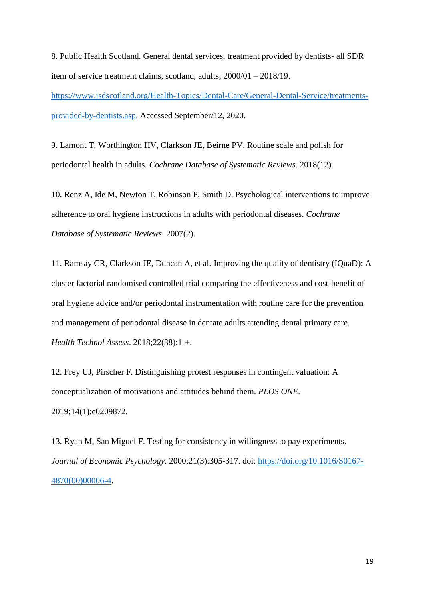8. Public Health Scotland. General dental services, treatment provided by dentists- all SDR item of service treatment claims, scotland, adults; 2000/01 – 2018/19. [https://www.isdscotland.org/Health-Topics/Dental-Care/General-Dental-Service/treatments](about:blank)[provided-by-dentists.asp.](about:blank) Accessed September/12, 2020.

9. Lamont T, Worthington HV, Clarkson JE, Beirne PV. Routine scale and polish for periodontal health in adults. *Cochrane Database of Systematic Reviews*. 2018(12).

10. Renz A, Ide M, Newton T, Robinson P, Smith D. Psychological interventions to improve adherence to oral hygiene instructions in adults with periodontal diseases. *Cochrane Database of Systematic Reviews*. 2007(2).

11. Ramsay CR, Clarkson JE, Duncan A, et al. Improving the quality of dentistry (IQuaD): A cluster factorial randomised controlled trial comparing the effectiveness and cost-benefit of oral hygiene advice and/or periodontal instrumentation with routine care for the prevention and management of periodontal disease in dentate adults attending dental primary care. *Health Technol Assess*. 2018;22(38):1-+.

12. Frey UJ, Pirscher F. Distinguishing protest responses in contingent valuation: A conceptualization of motivations and attitudes behind them. *PLOS ONE*. 2019;14(1):e0209872.

13. Ryan M, San Miguel F. Testing for consistency in willingness to pay experiments. *Journal of Economic Psychology*. 2000;21(3):305-317. doi: [https://doi.org/10.1016/S0167-](about:blank) [4870\(00\)00006-4.](about:blank)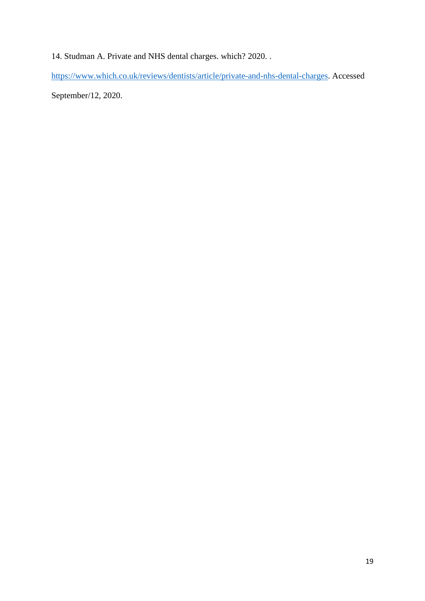14. Studman A. Private and NHS dental charges. which? 2020. .

[https://www.which.co.uk/reviews/dentists/article/private-and-nhs-dental-charges.](about:blank) Accessed

September/12, 2020.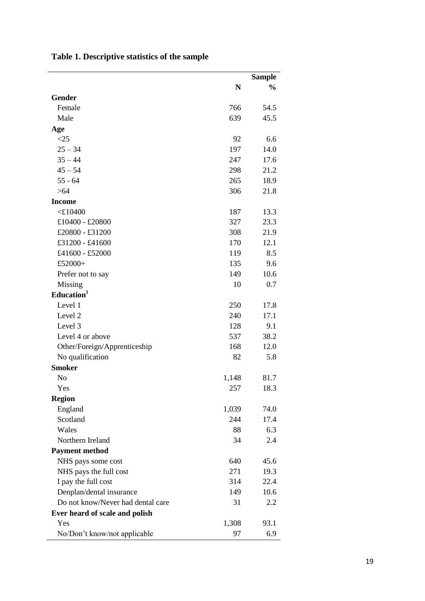|                                   |       | <b>Sample</b> |
|-----------------------------------|-------|---------------|
|                                   | N     | $\frac{0}{0}$ |
| Gender                            |       |               |
| Female                            | 766   | 54.5          |
| Male                              | 639   | 45.5          |
| Age                               |       |               |
| <25                               | 92    | 6.6           |
| $25 - 34$                         | 197   | 14.0          |
| $35 - 44$                         | 247   | 17.6          |
| $45 - 54$                         | 298   | 21.2          |
| $55 - 64$                         | 265   | 18.9          |
| >64                               | 306   | 21.8          |
| <b>Income</b>                     |       |               |
| $<$ £10400                        | 187   | 13.3          |
| £10400 - £20800                   | 327   | 23.3          |
| £20800 - £31200                   | 308   | 21.9          |
| £31200 - £41600                   | 170   | 12.1          |
| £41600 - £52000                   | 119   | 8.5           |
| £52000+                           | 135   | 9.6           |
| Prefer not to say                 | 149   | 10.6          |
| <b>Missing</b>                    | 10    | 0.7           |
| Education <sup>1</sup>            |       |               |
| Level 1                           | 250   | 17.8          |
| Level 2                           | 240   | 17.1          |
| Level 3                           | 128   | 9.1           |
| Level 4 or above                  | 537   | 38.2          |
| Other/Foreign/Apprenticeship      | 168   | 12.0          |
| No qualification                  | 82    | 5.8           |
| <b>Smoker</b>                     |       |               |
| N <sub>o</sub>                    | 1,148 | 81.7          |
| Yes                               | 257   | 18.3          |
| <b>Region</b>                     |       |               |
| England                           | 1,039 | 74.0          |
| Scotland                          | 244   | 17.4          |
| Wales                             | 88    | 6.3           |
| Northern Ireland                  | 34    | 2.4           |
| <b>Payment method</b>             |       |               |
| NHS pays some cost                | 640   | 45.6          |
| NHS pays the full cost            | 271   | 19.3          |
| I pay the full cost               | 314   | 22.4          |
| Denplan/dental insurance          | 149   | 10.6          |
| Do not know/Never had dental care | 31    | 2.2           |
| Ever heard of scale and polish    |       |               |
| Yes                               | 1,308 | 93.1          |
| No/Don't know/not applicable      | 97    | 6.9           |

**Table 1. Descriptive statistics of the sample**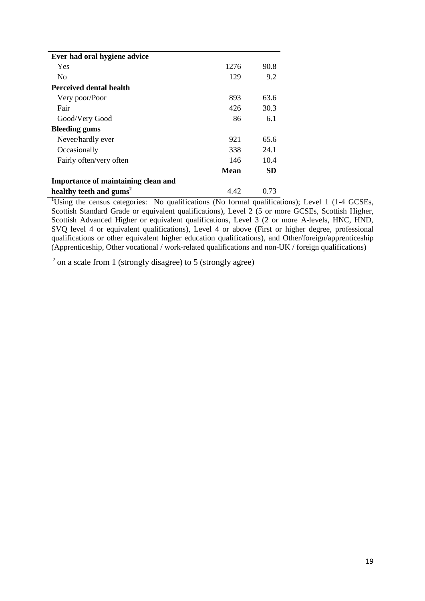| Ever had oral hygiene advice        |             |      |
|-------------------------------------|-------------|------|
| Yes                                 | 1276        | 90.8 |
| No                                  | 129         | 9.2  |
| <b>Perceived dental health</b>      |             |      |
| Very poor/Poor                      | 893         | 63.6 |
| Fair                                | 426         | 30.3 |
| Good/Very Good                      | 86          | 6.1  |
| <b>Bleeding gums</b>                |             |      |
| Never/hardly ever                   | 921         | 65.6 |
| Occasionally                        | 338         | 24.1 |
| Fairly often/very often             | 146         | 10.4 |
|                                     | <b>Mean</b> | SD   |
| Importance of maintaining clean and |             |      |
| healthy teeth and gums <sup>2</sup> | 4.42        | 0.73 |

<sup>1</sup>Using the census categories: No qualifications (No formal qualifications); Level 1 (1-4 GCSEs, Scottish Standard Grade or equivalent qualifications), Level 2 (5 or more GCSEs, Scottish Higher, Scottish Advanced Higher or equivalent qualifications, Level 3 (2 or more A-levels, HNC, HND, SVQ level 4 or equivalent qualifications), Level 4 or above (First or higher degree, professional qualifications or other equivalent higher education qualifications), and Other/foreign/apprenticeship (Apprenticeship, Other vocational / work-related qualifications and non-UK / foreign qualifications)

 $2$  on a scale from 1 (strongly disagree) to 5 (strongly agree)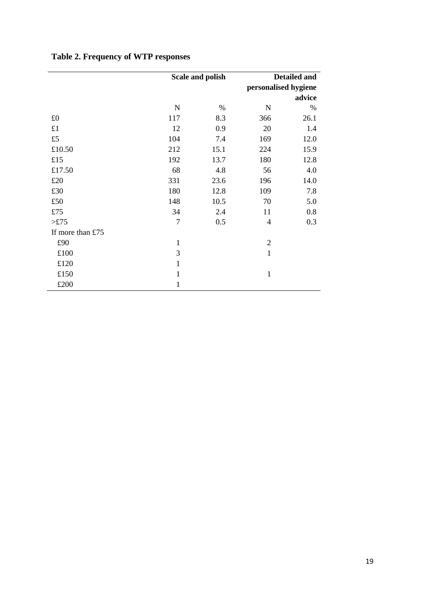|                  |                | Scale and polish | Detailed and<br>personalised hygiene<br>advice |      |  |
|------------------|----------------|------------------|------------------------------------------------|------|--|
|                  | ${\bf N}$      | $\%$             | N                                              | %    |  |
| £0               | 117            | 8.3              | 366                                            | 26.1 |  |
| £1               | 12             | 0.9              | 20                                             | 1.4  |  |
| £5               | 104            | 7.4              | 169                                            | 12.0 |  |
| £10.50           | 212            | 15.1             | 224                                            | 15.9 |  |
| £15              | 192            | 13.7             | 180                                            | 12.8 |  |
| £17.50           | 68             | 4.8              | 56                                             | 4.0  |  |
| £20              | 331            | 23.6             | 196                                            | 14.0 |  |
| £30              | 180            | 12.8             | 109                                            | 7.8  |  |
| £50              | 148            | 10.5             | 70                                             | 5.0  |  |
| £75              | 34             | 2.4              | 11                                             | 0.8  |  |
| >E75             | $\overline{7}$ | 0.5              | $\overline{4}$                                 | 0.3  |  |
| If more than £75 |                |                  |                                                |      |  |
| £90              | $\mathbf{1}$   |                  | $\overline{2}$                                 |      |  |
| £100             | 3              |                  | $\mathbf{1}$                                   |      |  |
| £120             | 1              |                  |                                                |      |  |
| £150             | 1              |                  | $\mathbf{1}$                                   |      |  |
| £200             | 1              |                  |                                                |      |  |

# **Table 2. Frequency of WTP responses**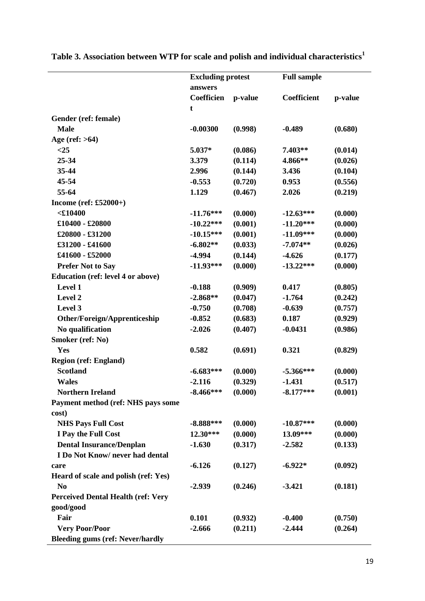|                                           | <b>Excluding protest</b> |         | <b>Full sample</b> |         |
|-------------------------------------------|--------------------------|---------|--------------------|---------|
|                                           | answers                  |         |                    |         |
|                                           | Coefficien               | p-value | Coefficient        | p-value |
|                                           | t                        |         |                    |         |
| Gender (ref: female)                      |                          |         |                    |         |
| <b>Male</b>                               | $-0.00300$               | (0.998) | $-0.489$           | (0.680) |
| Age (ref: $>64$ )                         |                          |         |                    |         |
| $<$ 25                                    | 5.037*                   | (0.086) | $7.403**$          | (0.014) |
| $25 - 34$                                 | 3.379                    | (0.114) | 4.866**            | (0.026) |
| 35-44                                     | 2.996                    | (0.144) | 3.436              | (0.104) |
| 45-54                                     | $-0.553$                 | (0.720) | 0.953              | (0.556) |
| 55-64                                     | 1.129                    | (0.467) | 2.026              | (0.219) |
| Income (ref: $£52000+)$                   |                          |         |                    |         |
| $<$ £10400                                | $-11.76***$              | (0.000) | $-12.63***$        | (0.000) |
| $£10400 - £20800$                         | $-10.22***$              | (0.001) | $-11.20***$        | (0.000) |
| £20800 - £31200                           | $-10.15***$              | (0.001) | $-11.09***$        | (0.000) |
| £31200 - £41600                           | $-6.802**$               | (0.033) | $-7.074**$         | (0.026) |
| £41600 - £52000                           | $-4.994$                 | (0.144) | $-4.626$           | (0.177) |
| <b>Prefer Not to Say</b>                  | $-11.93***$              | (0.000) | $-13.22***$        | (0.000) |
| <b>Education (ref: level 4 or above)</b>  |                          |         |                    |         |
| Level 1                                   | $-0.188$                 | (0.909) | 0.417              | (0.805) |
| Level 2                                   | $-2.868**$               | (0.047) | $-1.764$           | (0.242) |
| Level 3                                   | $-0.750$                 | (0.708) | $-0.639$           | (0.757) |
| Other/Foreign/Apprenticeship              | $-0.852$                 | (0.683) | 0.187              | (0.929) |
| No qualification                          | $-2.026$                 | (0.407) | $-0.0431$          | (0.986) |
| Smoker (ref: No)                          |                          |         |                    |         |
| Yes                                       | 0.582                    | (0.691) | 0.321              | (0.829) |
| <b>Region (ref: England)</b>              |                          |         |                    |         |
| <b>Scotland</b>                           | $-6.683***$              | (0.000) | $-5.366***$        | (0.000) |
| <b>Wales</b>                              | $-2.116$                 | (0.329) | $-1.431$           | (0.517) |
| <b>Northern Ireland</b>                   | $-8.466***$              | (0.000) | $-8.177***$        | (0.001) |
| Payment method (ref: NHS pays some        |                          |         |                    |         |
| cost)                                     |                          |         |                    |         |
| <b>NHS Pays Full Cost</b>                 | $-8.888***$              | (0.000) | $-10.87***$        | (0.000) |
| I Pay the Full Cost                       | 12.30***                 | (0.000) | 13.09***           | (0.000) |
| <b>Dental Insurance/Denplan</b>           | $-1.630$                 | (0.317) | $-2.582$           | (0.133) |
| I Do Not Know/never had dental            |                          |         |                    |         |
| care                                      | $-6.126$                 | (0.127) | $-6.922*$          | (0.092) |
| Heard of scale and polish (ref: Yes)      |                          |         |                    |         |
| N <sub>0</sub>                            | $-2.939$                 | (0.246) | $-3.421$           | (0.181) |
| <b>Perceived Dental Health (ref: Very</b> |                          |         |                    |         |
| good/good                                 |                          |         |                    |         |
| Fair                                      | 0.101                    | (0.932) | $-0.400$           | (0.750) |
| <b>Very Poor/Poor</b>                     | $-2.666$                 | (0.211) | $-2.444$           | (0.264) |
| <b>Bleeding gums (ref: Never/hardly</b>   |                          |         |                    |         |

**Table 3. Association between WTP for scale and polish and individual characteristics<sup>1</sup>**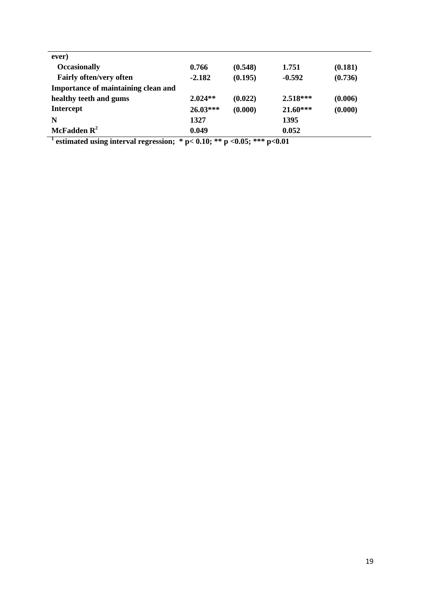| ever)                               |            |         |            |         |
|-------------------------------------|------------|---------|------------|---------|
| <b>Occasionally</b>                 | 0.766      | (0.548) | 1.751      | (0.181) |
| <b>Fairly often/very often</b>      | $-2.182$   | (0.195) | $-0.592$   | (0.736) |
| Importance of maintaining clean and |            |         |            |         |
| healthy teeth and gums              | $2.024**$  | (0.022) | $2.518***$ | (0.006) |
| <b>Intercept</b>                    | $26.03***$ | (0.000) | $21.60***$ | (0.000) |
| N                                   | 1327       |         | 1395       |         |
| McFadden $\mathbb{R}^2$             | 0.049      |         | 0.052      |         |

**1 estimated using interval regression; \* p< 0.10; \*\* p <0.05; \*\*\* p<0.01**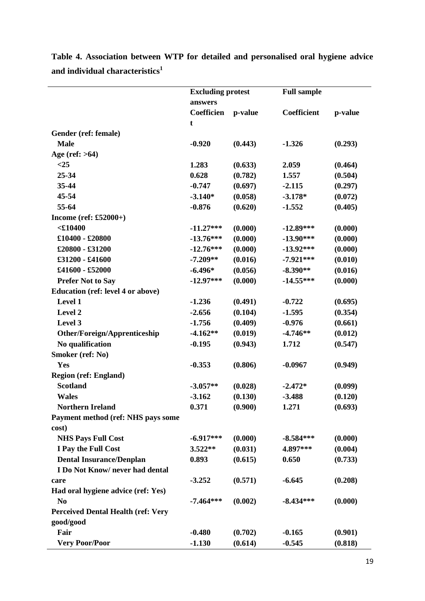|                                           | <b>Excluding protest</b><br>answers |         | <b>Full sample</b> |         |
|-------------------------------------------|-------------------------------------|---------|--------------------|---------|
|                                           |                                     |         |                    |         |
|                                           | Coefficien                          | p-value | Coefficient        | p-value |
|                                           | t                                   |         |                    |         |
| Gender (ref: female)                      |                                     |         |                    |         |
| <b>Male</b>                               | $-0.920$                            | (0.443) | $-1.326$           | (0.293) |
| Age (ref: $>64$ )                         |                                     |         |                    |         |
| $<$ 25                                    | 1.283                               | (0.633) | 2.059              | (0.464) |
| 25-34                                     | 0.628                               | (0.782) | 1.557              | (0.504) |
| 35-44                                     | $-0.747$                            | (0.697) | $-2.115$           | (0.297) |
| 45-54                                     | $-3.140*$                           | (0.058) | $-3.178*$          | (0.072) |
| 55-64                                     | $-0.876$                            | (0.620) | $-1.552$           | (0.405) |
| Income (ref: $£52000+)$                   |                                     |         |                    |         |
| $<$ £10400                                | $-11.27***$                         | (0.000) | $-12.89***$        | (0.000) |
| $£10400 - £20800$                         | $-13.76***$                         | (0.000) | $-13.90***$        | (0.000) |
| £20800 - £31200                           | $-12.76***$                         | (0.000) | $-13.92***$        | (0.000) |
| £31200 - £41600                           | $-7.209**$                          | (0.016) | $-7.921***$        | (0.010) |
| £41600 - £52000                           | $-6.496*$                           | (0.056) | $-8.390**$         | (0.016) |
| <b>Prefer Not to Say</b>                  | $-12.97***$                         | (0.000) | $-14.55***$        | (0.000) |
| <b>Education (ref: level 4 or above)</b>  |                                     |         |                    |         |
| Level 1                                   | $-1.236$                            | (0.491) | $-0.722$           | (0.695) |
| Level 2                                   | $-2.656$                            | (0.104) | $-1.595$           | (0.354) |
| Level 3                                   | $-1.756$                            | (0.409) | $-0.976$           | (0.661) |
| Other/Foreign/Apprenticeship              | $-4.162**$                          | (0.019) | $-4.746**$         | (0.012) |
| No qualification                          | $-0.195$                            | (0.943) | 1.712              | (0.547) |
| Smoker (ref: No)                          |                                     |         |                    |         |
| Yes                                       | $-0.353$                            | (0.806) | $-0.0967$          | (0.949) |
| <b>Region (ref: England)</b>              |                                     |         |                    |         |
| <b>Scotland</b>                           | $-3.057**$                          | (0.028) | $-2.472*$          | (0.099) |
| <b>Wales</b>                              | $-3.162$                            | (0.130) | $-3.488$           | (0.120) |
| <b>Northern Ireland</b>                   | 0.371                               | (0.900) | 1.271              | (0.693) |
| Payment method (ref: NHS pays some        |                                     |         |                    |         |
| cost)                                     |                                     |         |                    |         |
| <b>NHS Pays Full Cost</b>                 | $-6.917***$                         | (0.000) | $-8.584***$        | (0.000) |
| I Pay the Full Cost                       | $3.522**$                           | (0.031) | 4.897***           | (0.004) |
| <b>Dental Insurance/Denplan</b>           | 0.893                               | (0.615) | 0.650              | (0.733) |
| I Do Not Know/never had dental            |                                     |         |                    |         |
| care                                      | $-3.252$                            | (0.571) | $-6.645$           | (0.208) |
| Had oral hygiene advice (ref: Yes)        |                                     |         |                    |         |
| N <sub>0</sub>                            | $-7.464***$                         | (0.002) | $-8.434***$        | (0.000) |
| <b>Perceived Dental Health (ref: Very</b> |                                     |         |                    |         |
| good/good                                 |                                     |         |                    |         |
| Fair                                      | $-0.480$                            | (0.702) | $-0.165$           | (0.901) |
| <b>Very Poor/Poor</b>                     | $-1.130$                            | (0.614) | $-0.545$           | (0.818) |

**Table 4. Association between WTP for detailed and personalised oral hygiene advice and individual characteristics<sup>1</sup>**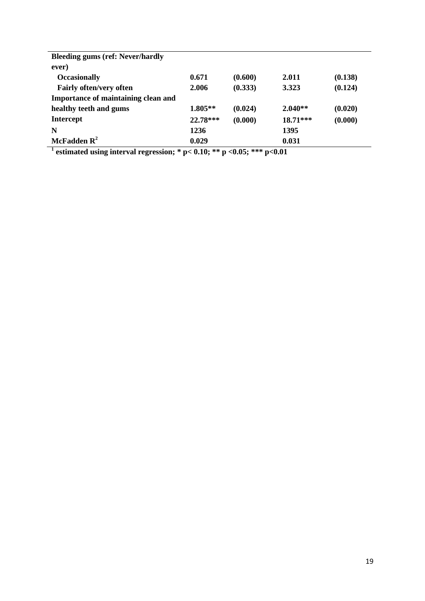| <b>Bleeding gums (ref: Never/hardly</b><br>ever)    |           |         |            |         |
|-----------------------------------------------------|-----------|---------|------------|---------|
| <b>Occasionally</b>                                 | 0.671     | (0.600) | 2.011      | (0.138) |
| <b>Fairly often/very often</b>                      | 2.006     | (0.333) | 3.323      | (0.124) |
| Importance of maintaining clean and                 |           |         |            |         |
| healthy teeth and gums                              | $1.805**$ | (0.024) | $2.040**$  | (0.020) |
| <b>Intercept</b>                                    | 22.78***  | (0.000) | $18.71***$ | (0.000) |
| N                                                   | 1236      |         | 1395       |         |
| McFadden $\mathbb{R}^2$<br>$\overline{\phantom{a}}$ | 0.029     |         | 0.031      |         |

**1 estimated using interval regression; \* p< 0.10; \*\* p <0.05; \*\*\* p<0.01**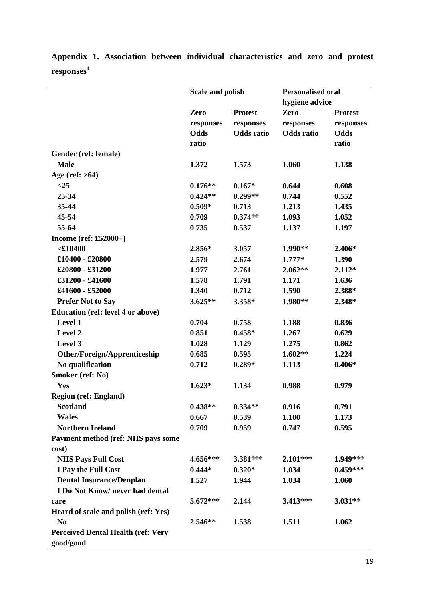|                                           | Scale and polish |                   | <b>Personalised oral</b><br>hygiene advice |                |
|-------------------------------------------|------------------|-------------------|--------------------------------------------|----------------|
|                                           | Zero             | <b>Protest</b>    | Zero                                       | <b>Protest</b> |
|                                           | responses        | responses         | responses                                  | responses      |
|                                           | Odds             | <b>Odds</b> ratio | <b>Odds</b> ratio                          | Odds           |
|                                           | ratio            |                   |                                            | ratio          |
| Gender (ref: female)                      |                  |                   |                                            |                |
| <b>Male</b>                               | 1.372            | 1.573             | 1.060                                      | 1.138          |
| Age (ref: $>64$ )                         |                  |                   |                                            |                |
| $<$ 25                                    | $0.176**$        | $0.167*$          | 0.644                                      | 0.608          |
| 25-34                                     | $0.424**$        | $0.299**$         | 0.744                                      | 0.552          |
| 35-44                                     | $0.509*$         | 0.713             | 1.213                                      | 1.435          |
| 45-54                                     | 0.709            | $0.374**$         | 1.093                                      | 1.052          |
| 55-64                                     | 0.735            | 0.537             | 1.137                                      | 1.197          |
| Income (ref: $£52000+)$                   |                  |                   |                                            |                |
| $<$ £10400                                | $2.856*$         | 3.057             | 1.990**                                    | $2.406*$       |
| $£10400 - £20800$                         | 2.579            | 2.674             | $1.777*$                                   | 1.390          |
| £20800 - £31200                           | 1.977            | 2.761             | $2.062**$                                  | $2.112*$       |
| £31200 - £41600                           | 1.578            | 1.791             | 1.171                                      | 1.636          |
| £41600 - £52000                           | 1.340            | 0.712             | 1.590                                      | 2.388*         |
| <b>Prefer Not to Say</b>                  | $3.625**$        | 3.358*            | 1.980**                                    | 2.348*         |
| Education (ref: level 4 or above)         |                  |                   |                                            |                |
| Level 1                                   | 0.704            | 0.758             | 1.188                                      | 0.836          |
| Level 2                                   | 0.851            | $0.458*$          | 1.267                                      | 0.629          |
| Level 3                                   | 1.028            | 1.129             | 1.275                                      | 0.862          |
| Other/Foreign/Apprenticeship              | 0.685            | 0.595             | $1.602**$                                  | 1.224          |
| No qualification                          | 0.712            | $0.289*$          | 1.113                                      | $0.406*$       |
| Smoker (ref: No)                          |                  |                   |                                            |                |
| Yes                                       | $1.623*$         | 1.134             | 0.988                                      | 0.979          |
| <b>Region (ref: England)</b>              |                  |                   |                                            |                |
| <b>Scotland</b>                           | $0.438**$        | $0.334**$         | 0.916                                      | 0.791          |
| <b>Wales</b>                              | 0.667            | 0.539             | 1.100                                      | 1.173          |
| <b>Northern Ireland</b>                   | 0.709            | 0.959             | 0.747                                      | 0.595          |
| Payment method (ref: NHS pays some        |                  |                   |                                            |                |
| cost)                                     |                  |                   |                                            |                |
| <b>NHS Pays Full Cost</b>                 | 4.656***         | 3.381***          | $2.101***$                                 | 1.949***       |
| I Pay the Full Cost                       | $0.444*$         | $0.320*$          | 1.034                                      | $0.459***$     |
| <b>Dental Insurance/Denplan</b>           | 1.527            | 1.944             | 1.034                                      | 1.060          |
| I Do Not Know/never had dental            |                  |                   |                                            |                |
| care                                      | 5.672***         | 2.144             | 3.413***                                   | $3.031**$      |
| Heard of scale and polish (ref: Yes)      |                  |                   |                                            |                |
| N <sub>0</sub>                            | 2.546**          | 1.538             | 1.511                                      | 1.062          |
| <b>Perceived Dental Health (ref: Very</b> |                  |                   |                                            |                |
| good/good                                 |                  |                   |                                            |                |

**Appendix 1. Association between individual characteristics and zero and protest responses<sup>1</sup>**